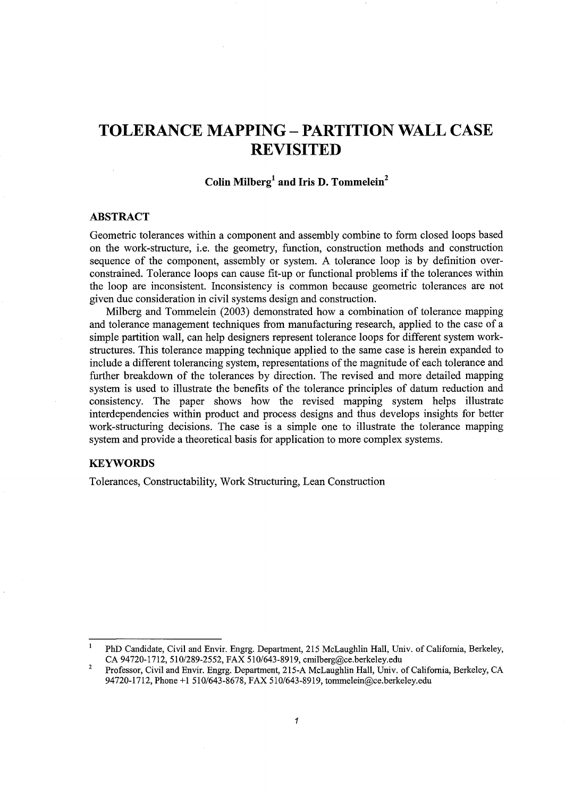# **TOLERANCE MAPPING- PARTITION WALL CASE REVISITED**

## **Colin Milberg1 and Iris D. Tommelein2**

## **ABSTRACT**

Geometric tolerances within a component and assembly combine to form closed loops based on the work-structure, i.e. the geometry, function, construction methods and construction sequence of the component, assembly or system. A tolerance loop is by definition overconstrained. Tolerance loops can cause fit-up or functional problems if the tolerances within the loop are inconsistent. Inconsistency is common because geometric tolerances are not given due consideration in civil systems design and construction.

Milberg and Tommelein (2003) demonstrated how a combination of tolerance mapping and tolerance management techniques from manufacturing research, applied to the case of a simple partition wall, can help designers represent tolerance loops for different system workstructures. This tolerance mapping technique applied to the same case is herein expanded to include a different tolerancing system, representations of the magnitude of each tolerance and further breakdown of the tolerances by direction. The revised and more detailed mapping system is used to illustrate the benefits of the tolerance principles of datum reduction and consistency. The paper shows how the revised mapping system helps illustrate interdependencies within product and process designs and thus develops insights for better work-structuring decisions. The case is a simple one to illustrate the tolerance mapping system and provide a theoretical basis for application to more complex systems.

## **KEYWORDS**

Tolerances, Constructability, Work Structuring, Lean Construction

 $\mathbf{1}$ PhD Candidate, Civil and Envir. Engrg. Department, 215 McLaughlin Hall, Univ. of California, Berkeley, CA 94720-1712, 510/289-2552, FAX 510/643-8919, cmilberg@ce.berkeley.edu

<sup>2</sup>  Professor, Civil and Envir. Engrg. Department, 215-A McLaughlin Hall, Univ. of California, Berkeley, CA 94720-1712, Phone +1 510/643-8678, FAX 510/643-8919, tommelein@ce.berke1ey.edu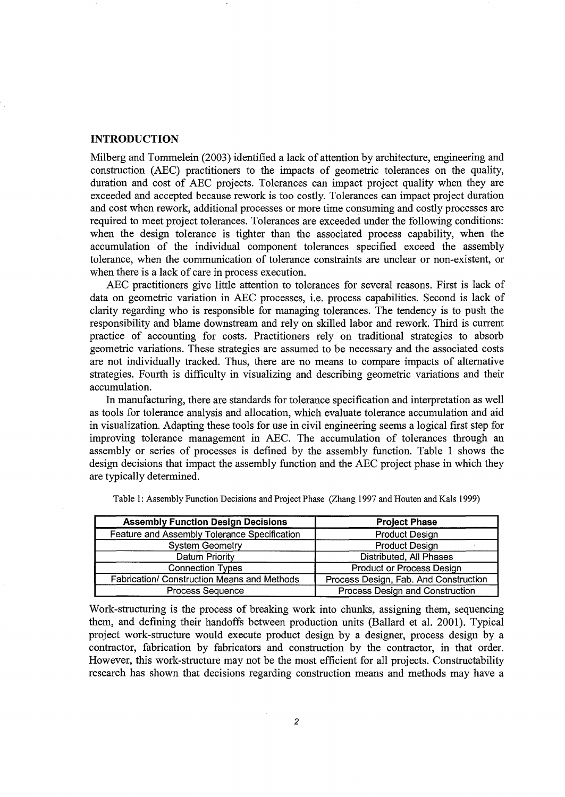## **INTRODUCTION**

Milberg and Tommelein (2003) identified a lack of attention by architecture, engineering and construction (AEC) practitioners to the impacts of geometric tolerances on the quality, duration and cost of AEC projects. Tolerances can impact project quality when they are exceeded and accepted because rework is too costly. Tolerances can impact project duration and cost when rework, additional processes or more time consuming and costly processes are required to meet project tolerances. Tolerances are exceeded under the following conditions: when the design tolerance is tighter than the associated process capability, when the accumulation of the individual component tolerances specified exceed the assembly tolerance, when the communication of tolerance constraints are unclear or non-existent, or when there is a lack of care in process execution.

AEC practitioners give little attention to tolerances for several reasons. First is lack of data on geometric variation in AEC processes, i.e. process capabilities. Second is lack of clarity regarding who is responsible for managing tolerances. The tendency is to push the responsibility and blame downstream and rely on skilled labor and rework. Third is current practice of accounting for costs. Practitioners rely on traditional strategies to absorb geometric variations. These strategies are assumed to be necessary and the associated costs are not individually tracked. Thus, there are no means to compare impacts of alternative strategies. Fourth is difficulty in visualizing and describing geometric variations and their accumulation.

In manufacturing, there are standards for tolerance specification and interpretation as well as tools for tolerance analysis and allocation, which evaluate tolerance accumulation and aid in visualization. Adapting these tools for use in civil engineering seems a logical first step for improving tolerance management in AEC. The accumulation of tolerances through an assembly or series of processes is defined by the assembly function. Table 1 shows the design decisions that impact the assembly function and the AEC project phase in which they are typically determined.

| <b>Assembly Function Design Decisions</b>          | <b>Project Phase</b>                  |
|----------------------------------------------------|---------------------------------------|
| Feature and Assembly Tolerance Specification       | <b>Product Design</b>                 |
| <b>System Geometry</b>                             | <b>Product Design</b>                 |
| Datum Priority                                     | Distributed, All Phases               |
| <b>Connection Types</b>                            | Product or Process Design             |
| <b>Fabrication/ Construction Means and Methods</b> | Process Design, Fab. And Construction |
| <b>Process Sequence</b>                            | Process Design and Construction       |

Table 1: Assembly Function Decisions and Project Phase (Zhang 1997 and Houten and Kals 1999)

Work-structuring is the process of breaking work into chunks, assigning them, sequencing them, and defining their handoffs between production units (Ballard et al. 2001). Typical project work-structure would execute product design by a designer, process design by a contractor, fabrication by fabricators and construction by the contractor, in that order. However, this work-structure may not be the most efficient for all projects. Constructability research has shown that decisions regarding construction means and methods may have a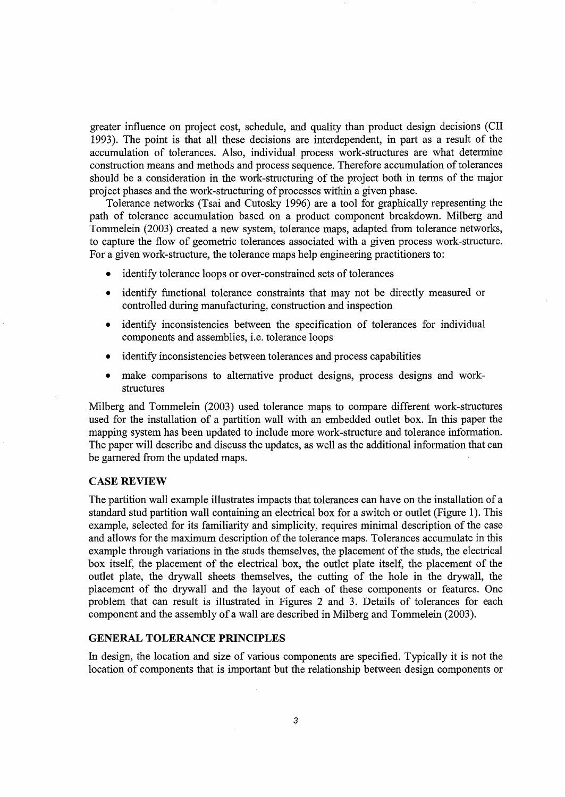greater influence on project cost, schedule, and quality than product design decisions (CII 1993). The point is that all these decisions are interdependent, in part as a result of the accumulation of tolerances. Also, individual process work-structures are what determine construction means and methods and process sequence. Therefore accumulation of tolerances should be a consideration in the work-structuring of the project both in terms of the major project phases and the work-structuring of processes within a given phase.

Tolerance networks (Tsai and Cutosky 1996) are a tool for graphically representing the path of tolerance accumulation based on a product component breakdown. Milberg and Tommelein (2003) created a new system, tolerance maps, adapted from tolerance networks, to capture the flow of geometric tolerances associated with a given process work-structure. For a given work-structure, the tolerance maps help engineering practitioners to:

- identify tolerance loops or over-constrained sets of tolerances
- identify functional tolerance constraints that may not be directly measured or controlled during manufacturing, construction and inspection
- identify inconsistencies between the specification of tolerances for individual components and assemblies, i.e. tolerance loops
- identify inconsistencies between tolerances and process capabilities
- make comparisons to alternative product designs, process designs and workstructures

Milberg and Tommelein (2003) used tolerance maps to compare different work-structures used for the installation of a partition wall with an embedded outlet box. In this paper the mapping system has been updated to include more work-structure and tolerance information. The paper will describe and discuss the updates, as well as the additional information that can be garnered from the updated maps.

#### **CASE REVIEW**

The partition wall example illustrates impacts that tolerances can have on the installation of a standard stud partition wall containing an electrical box for a switch or outlet (Figure 1). This example, selected for its familiarity and simplicity, requires minimal description of the case and allows for the maximum description of the tolerance maps. Tolerances accumulate in this example through variations in the studs themselves, the placement of the studs, the electrical box itself, the placement of the electrical box, the outlet plate itself, the placement of the outlet plate, the drywall sheets themselves, the cutting of the hole in the drywall, the placement of the drywall and the layout of each of these components or features. One problem that can result is illustrated in Figures 2 and 3. Details of tolerances for each component and the assembly of a wall are described in Milberg and Tommelein (2003).

## **GENERAL TOLERANCE PRINCIPLES**

In design, the location and size of various components are specified. Typically it is not the location of components that is important but the relationship between design components or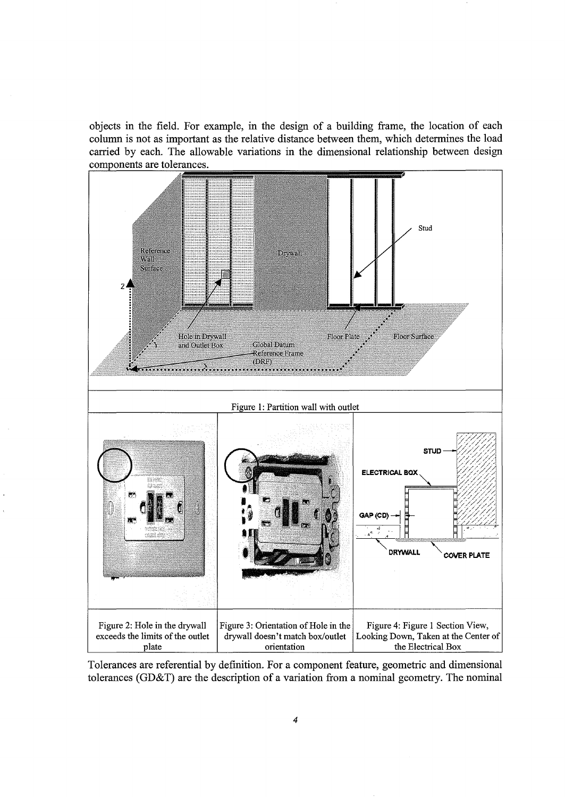objects in the field. For example, in the design of a building frame, the location of each column is not as important as the relative distance between them, which determines the load carried by each. The allowable variations in the dimensional relationship between design components are tolerances.



Tolerances are referential by definition. For a component feature, geometric and dimensional tolerances (GD&T) are the description of a variation from a nominal geometry. The nominal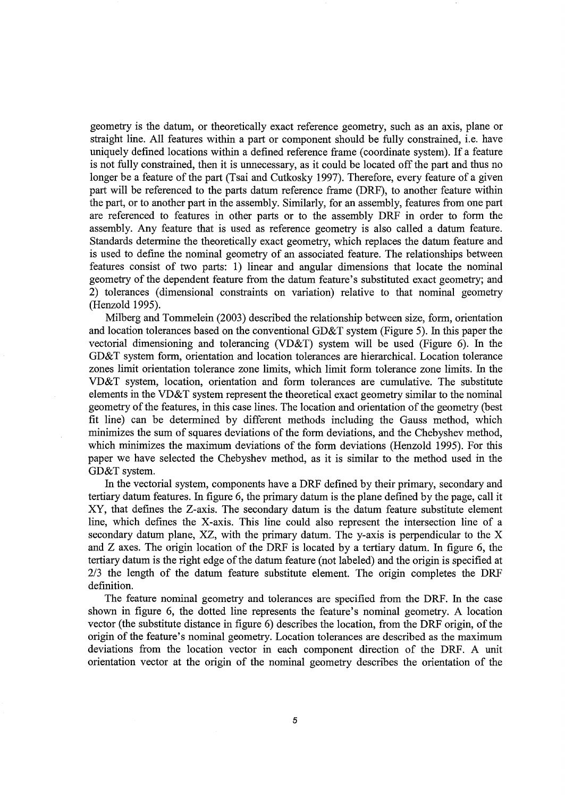geometry is the datum, or theoretically exact reference geometry, such as an axis, plane or straight line. All features within a part or component should be fully constrained, i.e. have uniquely defined locations within a defined reference frame (coordinate system). If a feature is not fully constrained, then it is unnecessary, as it could be located off the part and thus no longer be a feature of the part (Tsai and Cutkosky 1997). Therefore, every feature of a given part will be referenced to the parts datum reference frame (DRF), to another feature within the part, or to another part in the assembly. Similarly, for an assembly, features from one part are referenced to features in other parts or to the assembly DRF in order to form the assembly. Any feature that is used as reference geometry is also called a datum feature. Standards determine the theoretically exact geometry, which replaces the datum feature and is used to define the nominal geometry of an associated feature. The relationships between features consist of two parts: 1) linear and angular dimensions that locate the nominal geometry of the dependent feature from the datum feature's substituted exact geometry; and 2) tolerances (dimensional constraints on variation) relative to that nominal geometry (Henzold 1995).

Milberg and Tommelein (2003) described the relationship between size, form, orientation and location tolerances based on the conventional GD&T system (Figure 5). In this paper the vectorial dimensioning and tolerancing (VD&T) system will be used (Figure 6). In the GD&T system form, orientation and location tolerances are hierarchical. Location tolerance zones limit orientation tolerance zone limits, which limit form tolerance zone limits. In the VD&T system, location, orientation and form tolerances are cumulative. The substitute elements in the VD&T system represent the theoretical exact geometry similar to the nominal geometry of the features, in this case lines. The location and orientation of the geometry (best fit line) can be determined by different methods including the Gauss method, which minimizes the sum of squares deviations of the form deviations, and the Chebyshev method, which minimizes the maximum deviations of the form deviations (Henzold 1995). For this paper we have selected the Chebyshev method, as it is similar to the method used in the GD&T system.

In the vectorial system, components have a DRF defined by their primary, secondary and tertiary datum features. In figure 6, the primary datum is the plane defined by the page, call it XY, that defines the Z-axis. The secondary datum is the datum feature substitute element line, which defines the X-axis. This line could also represent the intersection line of a secondary datum plane, XZ, with the primary datum. The y-axis is perpendicular to the X and Z axes. The origin location of the DRF is located by a tertiary datum. In figure 6, the tertiary datum is the right edge of the datum feature (not labeled) and the origin is specified at 2/3 the length of the datum feature substitute element. The origin completes the DRF definition.

The feature nominal geometry and tolerances are specified from the DRF. In the case shown in figure 6, the dotted line represents the feature's nominal geometry. A location vector (the substitute distance in figure 6) describes the location, from the DRF origin, of the origin of the feature's nominal geometry. Location tolerances are described as the maximum deviations from the location vector in each component direction of the DRF. A unit orientation vector at the origin of the nominal geometry describes the orientation of the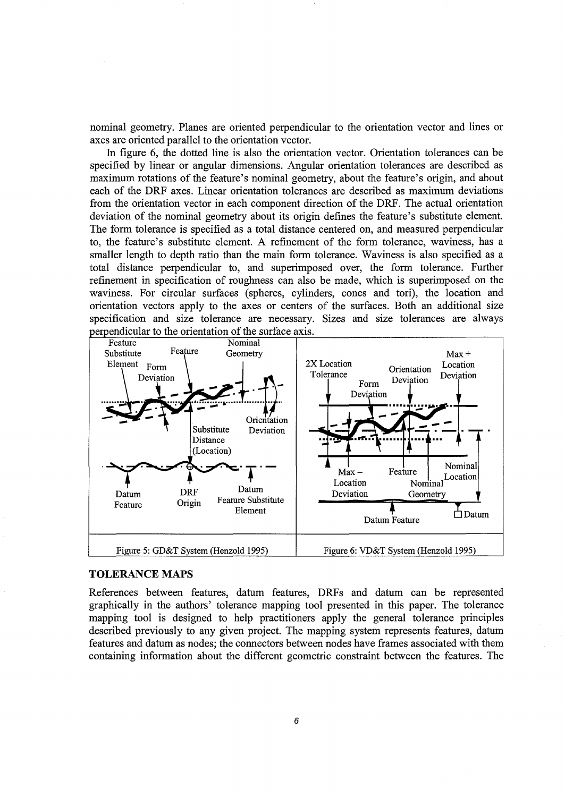nominal geometry. Planes are oriented perpendicular to the orientation vector and lines or axes are oriented parallel to the orientation vector.

In figure 6, the dotted line is also the orientation vector. Orientation tolerances can be specified by linear or angular dimensions. Angular orientation tolerances are described as maximum rotations of the feature's nominal geometry, about the feature's origin, and about each of the DRF axes. Linear orientation tolerances are described as maximum deviations from the orientation vector in each component direction of the DRF. The actual orientation deviation of the nominal geometry about its origin defines the feature's substitute element. The form tolerance is specified as a total distance centered on, and measured perpendicular to, the feature's substitute element. A refinement of the form tolerance, waviness, has a smaller length to depth ratio than the main form tolerance. Waviness is also specified as a total distance perpendicular to, and superimposed over, the form tolerance. Further refinement in specification of roughness can also be made, which is superimposed on the waviness. For circular surfaces (spheres, cylinders, cones and tori), the location and orientation vectors apply to the axes or centers of the surfaces. Both an additional size specification and size tolerance are necessary. Sizes and size tolerances are always



#### **TOLERANCE MAPS**

References between features, datum features, DRFs and datum can be represented graphically in the authors' tolerance mapping tool presented in this paper. The tolerance mapping tool is designed to help practitioners apply the general tolerance principles described previously to any given project. The mapping system represents features, datum features and datum as nodes; the connectors between nodes have frames associated with them containing information about the different geometric constraint between the features. The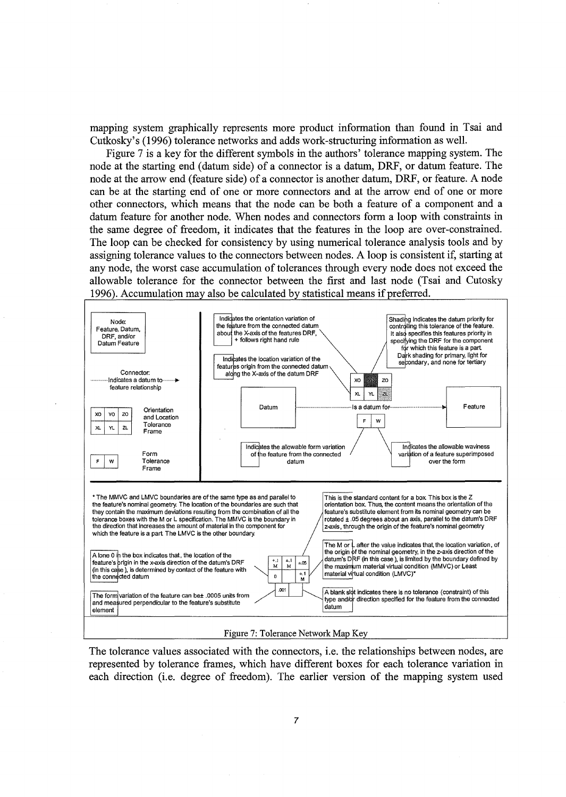mapping system graphically represents more product information than found in Tsai and Cutkosky's (1996) tolerance networks and adds work-structuring information as well.

Figure 7 is a key for the different symbols in the authors' tolerance mapping system. The node at the starting end (datum side) of a connector is a datum, DRF, or datum feature. The node at the arrow end (feature side) of a connector is another datum, DRF, or feature. A node can be at the starting end of one or more connectors and at the arrow end of one or more other connectors, which means that the node can be both a feature of a component and a datum feature for another node. When nodes and connectors form a loop with constraints in the same degree of freedom, it indicates that the features in the loop are over-constrained. The loop can be checked for consistency by using numerical tolerance analysis tools and by assigning tolerance values to the connectors between nodes. A loop is consistent if, starting at any node, the worst case accumulation of tolerances through every node does not exceed the allowable tolerance for the connector between the first and last node (Tsai and Cutosky 1996). Accumulation may also be calculated by statistical means if preferred.



The tolerance values associated with the connectors, i.e. the relationships between nodes, are represented by tolerance frames, which have different boxes for each tolerance variation in each direction (i.e. degree of freedom). The earlier version of the mapping system used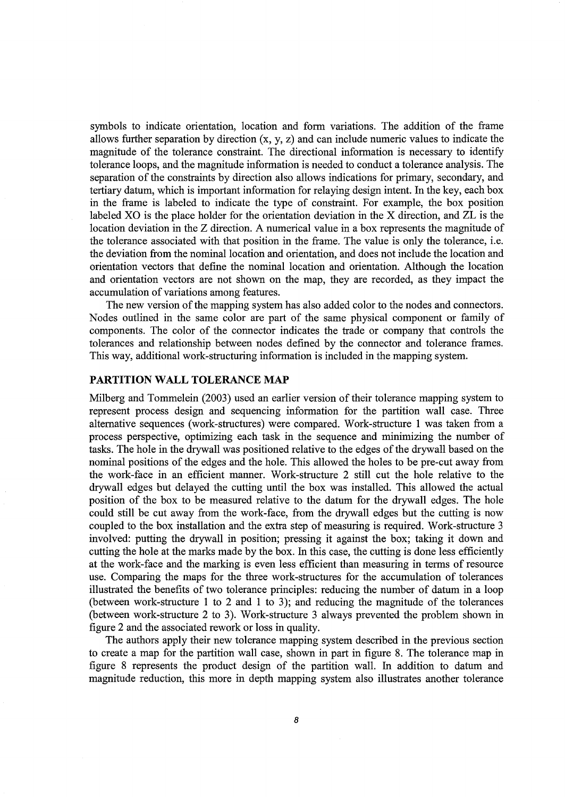symbols to indicate orientation, location and form variations. The addition of the frame allows further separation by direction (x, y, z) and can include numeric values to indicate the magnitude of the tolerance constraint. The directional information is necessary to identify tolerance loops, and the magnitude information is needed to conduct a tolerance analysis. The separation of the constraints by direction also allows indications for primary, secondary, and tertiary datum, which is important information for relaying design intent. In the key, each box in the frame is labeled to indicate the type of constraint. For example, the box position labeled XO is the place holder for the orientation deviation in the X direction, and ZL is the location deviation in the Z direction. A numerical value in a box represents the magnitude of the tolerance associated with that position in the frame. The value is only the tolerance, i.e. the deviation from the nominal location and orientation, and does not include the location and orientation vectors that define the nominal location and orientation. Although the location and orientation vectors are not shown on the map, they are recorded, as they impact the accumulation of variations among features.

The new version of the mapping system has also added color to the nodes and connectors. Nodes outlined in the same color are part of the same physical component or family of components. The color of the connector indicates the trade or company that controls the tolerances and relationship between nodes defined by the connector and tolerance frames. This way, additional work-structuring information is included in the mapping system.

## **PARTITION WALL TOLERANCE MAP**

Milberg and Tommelein (2003) used an earlier version of their tolerance mapping system to represent process design and sequencing information for the partition wall case. Three alternative sequences (work-structures) were compared. Work-structure 1 was taken from a process perspective, optimizing each task in the sequence and minimizing the number of tasks. The hole in the drywall was positioned relative to the edges of the drywall based on the nominal positions of the edges and the hole. This allowed the holes to be pre-cut away from the work-face in an efficient manner. Work-structure 2 still cut the hole relative to the drywall edges but delayed the cutting until the box was installed. This allowed the actual position of the box to be measured relative to the datum for the drywall edges. The hole could still be cut away from the work-face, from the drywall edges but the cutting is now coupled to the box installation and the extra step of measuring is required. Work-structure 3 involved: putting the drywall in position; pressing it against the box; taking it down and cutting the hole at the marks made by the box. In this case, the cutting is done less efficiently at the work-face and the marking is even less efficient than measuring in terms of resource use. Comparing the maps for the three work-structures for the accumulation of tolerances illustrated the benefits of two tolerance principles: reducing the number of datum in a loop (between work-structure 1 to 2 and 1 to 3); and reducing the magnitude of the tolerances (between work-structure 2 to 3). Work-structure 3 always prevented the problem shown in figure 2 and the associated rework or loss in quality.

The authors apply their new tolerance mapping system described in the previous section to create a map for the partition wall case, shown in part in figure 8. The tolerance map in figure 8 represents the product design of the partition wall. In addition to datum and magnitude reduction, this more in depth mapping system also illustrates another tolerance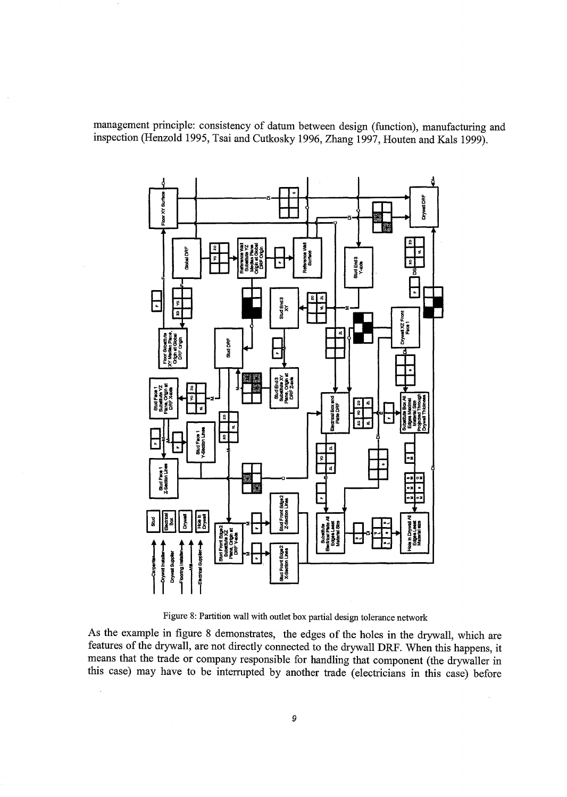management principle: consistency of datum between design (function), manufacturing and inspection (Henzold 1995, Tsai and Cutkosky 1996, Zhang 1997, Houten and Kals 1999).



Figure 8: Partition wall with outlet box partial design tolerance network

As the example in figure 8 demonstrates, the edges of the holes in the drywall, which are features of the drywall, are not directly connected to the drywall DRF. When this happens, it means that the trade or company responsible for handling that component (the drywaller in this case) may have to be interrupted by another trade (electricians in this case) before

 $\bar{\beta}$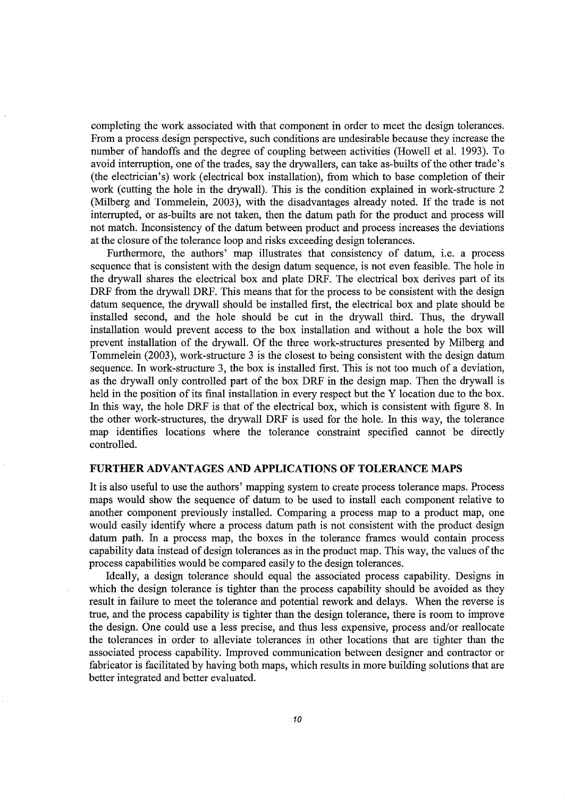completing the work associated with that component in order to meet the design tolerances. From a process design perspective, such conditions are undesirable because they increase the number of handoffs and the degree of coupling between activities (Howell et al. 1993). To avoid interruption, one of the trades, say the drywallers, can take as-builts of the other trade's (the electrician's) work (electrical box installation), from which to base completion of their work (cutting the hole in the drywall). This is the condition explained in work-structure 2 (Milberg and Tommelein, 2003), with the disadvantages already noted. If the trade is not interrupted, or as-builts are not taken, then the datum path for the product and process will not match. Inconsistency of the datum between product and process increases the deviations at the closure of the tolerance loop and risks exceeding design tolerances.

Furthermore, the authors' map illustrates that consistency of datum, i.e. a process sequence that is consistent with the design datum sequence, is not even feasible. The hole in the drywall shares the electrical box and plate DRF. The electrical box derives part of its DRF from the drywall DRF. This means that for the process to be consistent with the design datum sequence, the drywall should be installed first, the electrical box and plate should be installed second, and the hole should be cut in the drywall third. Thus, the drywall installation would prevent access to the box installation and without a hole the box will prevent installation of the drywall. Of the three work-structures presented by Milberg and Tommelein (2003), work-structure 3 is the closest to being consistent with the design datum sequence. In work-structure 3, the box is installed first. This is not too much of a deviation, as the drywall only controlled part of the box DRF in the design map. Then the drywall is held in the position of its final installation in every respect but the Y location due to the box. In this way, the hole DRF is that of the electrical box, which is consistent with figure 8. In the other work-structures, the drywall DRF is used for the hole. In this way, the tolerance map identifies locations where the tolerance constraint specified cannot be directly controlled.

## **FURTHER ADVANTAGES AND APPLICATIONS OF TOLERANCE MAPS**

It is also useful to use the authors' mapping system to create process tolerance maps. Process maps would show the sequence of datum to be used to install each component relative to another component previously installed. Comparing a process map to a product map, one would easily identify where a process datum path is not consistent with the product design datum path. In a process map, the boxes in the tolerance frames would contain process capability data instead of design tolerances as in the product map. This way, the values of the process capabilities would be compared easily to the design tolerances.

Ideally, a design tolerance should equal the associated process capability. Designs in which the design tolerance is tighter than the process capability should be avoided as they result in failure to meet the tolerance and potential rework and delays. When the reverse is true, and the process capability is tighter than the design tolerance, there is room to improve the design. One could use a less precise, and thus less expensive, process and/or reallocate the tolerances in order to alleviate tolerances in other locations that are tighter than the associated process capability. Improved communication between designer and contractor or fabricator is facilitated by having both maps, which results in more building solutions that are better integrated and better evaluated.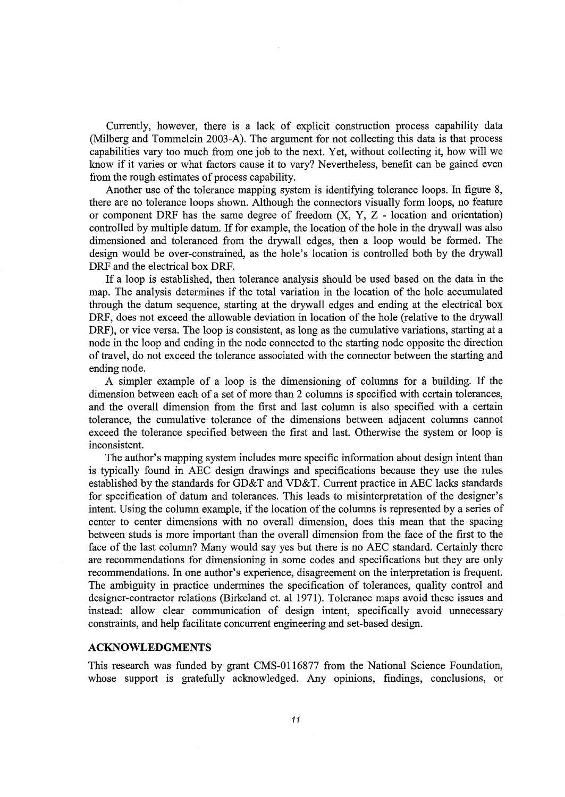Currently, however, there is a lack of explicit construction process capability data (Milberg and Tommelein 2003-A). The argument for not collecting this data is that process capabilities vary too much from one job to the next. Yet, without collecting it, how will we know if it varies or what factors cause it to vary? Nevertheless, benefit can be gained even from the rough estimates of process capability.

Another use of the tolerance mapping system is identifying tolerance loops. In figure 8, there are no tolerance loops shown. Although the connectors visually form loops, no feature or component DRF has the same degree of freedom  $(X, Y, Z -$  location and orientation) controlled by multiple datum. If for example, the location of the hole in the drywall was also dimensioned and toleranced from the drywall edges, then a loop would be formed. The design would be over-constrained, as the hole's location is controlled both by the drywall DRF and the electrical box DRF.

If a loop is established, then tolerance analysis should be used based on the data in the map. The analysis determines if the total variation in the location of the hole accumulated through the datum sequence, starting at the drywall edges and ending at the electrical box DRF, does not exceed the allowable deviation in location of the hole (relative to the drywall DRF), or vice versa. The loop is consistent, as long as the cumulative variations, starting at a node in the loop and ending in the node connected to the starting node opposite the direction of travel, do not exceed the tolerance associated with the connector between the starting and ending node.

A simpler example of a loop is the dimensioning of columns for a building. If the dimension between each of a set of more than 2 columns is specified with certain tolerances, and the overall dimension from the first and last column is also specified with a certain tolerance, the cumulative tolerance of the dimensions between adjacent columns cannot exceed the tolerance specified between the first and last. Otherwise the system or loop is inconsistent.

The author's mapping system includes more specific information about design intent than is typically found in AEC design drawings and specifications because they use the rules established by the standards for GD&T and VD&T. Current practice in AEC lacks standards for specification of datum and tolerances. This leads to misinterpretation of the designer's intent. Using the column example, if the location of the columns is represented by a series of center to center dimensions with no overall dimension, does this mean that the spacing between studs is more important than the overall dimension from the face of the first to the face of the last column? Many would say yes but there is no AEC standard. Certainly there are recommendations for dimensioning in some codes and specifications but they are only recommendations. In one author's experience, disagreement on the interpretation is frequent. The ambiguity in practice undermines the specification of tolerances, quality control and designer-contractor relations (Birkeland et. al 1971). Tolerance maps avoid these issues and instead: allow clear communication of design intent, specifically avoid unnecessary constraints, and help facilitate concurrent engineering and set-based design.

#### **ACKNOWLEDGMENTS**

This research was funded by grant CMS-0116877 from the National Science Foundation, whose support is gratefully acknowledged. Any opinions, findings, conclusions, or